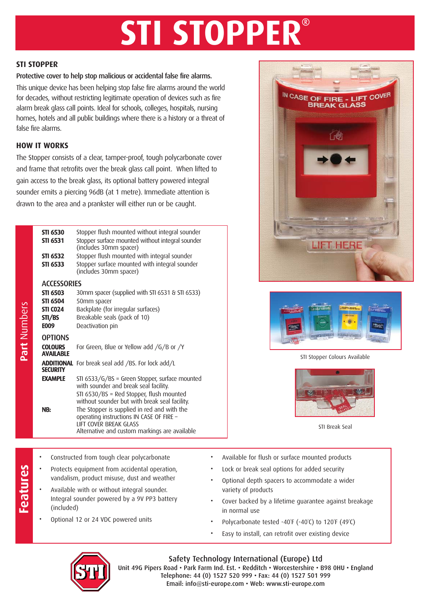# **STI STOPPER**

#### **STI STOPPER**

#### Protective cover to help stop malicious or accidental false fire alarms.

This unique device has been helping stop false fire alarms around the world for decades, without restricting legitimate operation of devices such as fire alarm break glass call points. Ideal for schools, colleges, hospitals, nursing homes, hotels and all public buildings where there is a history or a threat of false fire alarms.

#### **HOW IT WORKS**

The Stopper consists of a clear, tamper-proof, tough polycarbonate cover and frame that retrofits over the break glass call point. When lifted to gain access to the break glass, its optional battery powered integral sounder emits a piercing 96dB (at 1 metre). Immediate attention is drawn to the area and a prankster will either run or be caught.

| Part Numbers | <b>STI 6530</b><br><b>STI 6531</b><br>STI 6532<br>STI 6533 | Stopper flush mounted without integral sounder<br>Stopper surface mounted without integral sounder<br>(includes 30mm spacer)<br>Stopper flush mounted with integral sounder<br>Stopper surface mounted with integral sounder<br>(includes 30mm spacer)          |
|--------------|------------------------------------------------------------|-----------------------------------------------------------------------------------------------------------------------------------------------------------------------------------------------------------------------------------------------------------------|
|              | <b>ACCESSORIES</b>                                         |                                                                                                                                                                                                                                                                 |
|              | <b>STI 6503</b>                                            | 30mm spacer (supplied with STI 6531 & STI 6533)                                                                                                                                                                                                                 |
|              | <b>STI 6504</b>                                            | 50mm spacer                                                                                                                                                                                                                                                     |
|              | <b>STI CO24</b>                                            | Backplate (for irregular surfaces)                                                                                                                                                                                                                              |
|              | STI/BS                                                     | Breakable seals (pack of 10)                                                                                                                                                                                                                                    |
|              | <b>E009</b>                                                | Deactivation pin                                                                                                                                                                                                                                                |
|              | <b>OPTIONS</b>                                             |                                                                                                                                                                                                                                                                 |
|              | <b>COLOURS</b><br><b>AVAILABLE</b>                         | For Green, Blue or Yellow add /G/B or /Y                                                                                                                                                                                                                        |
|              | <b>ADDITIONAL</b><br><b>SECURITY</b>                       | For break seal add /BS. For lock add/L                                                                                                                                                                                                                          |
|              | <b>EXAMPLE</b>                                             | STI 6533/G/BS = Green Stopper, surface mounted<br>with sounder and break seal facility.                                                                                                                                                                         |
|              | NB:                                                        | STI 6530/BS = Red Stopper, flush mounted<br>without sounder but with break seal facility.<br>The Stopper is supplied in red and with the<br>operating instructions IN CASE OF FIRE -<br>LIFT COVER BREAK GLASS<br>Alternative and custom markings are available |
|              |                                                            |                                                                                                                                                                                                                                                                 |





#### STI Stopper Colours Available



STI Break Seal

- 
- Protects equipment from accidental operation, vandalism, product misuse, dust and weather
- **Frontierd from tough clear polycarbonate**<br> **Frotects equipment from accidental operational vandalism**, product misuse, dust and weath<br>
Available with or without integral sounder.<br>
Integral sounder powered by a 9V PP3 batt • Available with or without integral sounder. Integral sounder powered by a 9V PP3 battery (included)
	- Optional 12 or 24 VDC powered units
- Available for flush or surface mounted products
- Lock or break seal options for added security
- Optional depth spacers to accommodate a wider variety of products
- Cover backed by a lifetime guarantee against breakage in normal use
- Polycarbonate tested -40°F (-40°C) to 120°F (49°C)
- Easy to install, can retrofit over existing device



### Safety Technology International (Europe) Ltd

Unit 49G Pipers Road • Park Farm Ind. Est. • Redditch • Worcestershire • B98 0HU • England Telephone: 44 (0) 1527 520 999 • Fax: 44 (0) 1527 501 999 Email: info@sti-europe.com • Web: www.sti-europe.com